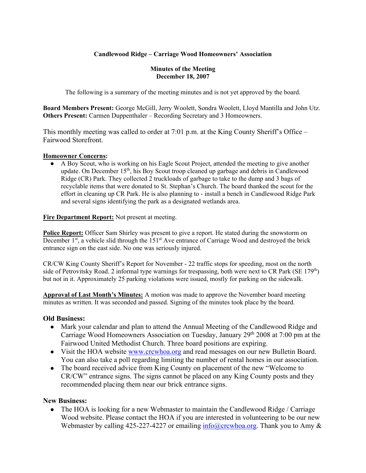## **Candlewood Ridge – Carriage Wood Homeowners' Association**

#### **Minutes of the Meeting December 18, 2007**

The following is a summary of the meeting minutes and is not yet approved by the board.

**Board Members Present:** George McGill, Jerry Woolett, Sondra Woolett, Lloyd Mantilla and John Utz. **Others Present:** Carmen Duppenthaler – Recording Secretary and 3 Homeowners.

This monthly meeting was called to order at 7:01 p.m. at the King County Sheriff's Office – Fairwood Storefront.

### **Homeowner Concerns:**

A Boy Scout, who is working on his Eagle Scout Project, attended the meeting to give another update. On December  $15<sup>th</sup>$ , his Boy Scout troop cleaned up garbage and debris in Candlewood Ridge (CR) Park. They collected 2 truckloads of garbage to take to the dump and 3 bags of recyclable items that were donated to St. Stephan's Church. The board thanked the scout for the effort in cleaning up CR Park. He is also planning to - install a bench in Candlewood Ridge Park and several signs identifying the park as a designated wetlands area.

**Fire Department Report:** Not present at meeting.

**Police Report:** Officer Sam Shirley was present to give a report. He stated during the snowstorm on December  $1<sup>st</sup>$ , a vehicle slid through the  $151<sup>st</sup>$  Ave entrance of Carriage Wood and destroyed the brick entrance sign on the east side. No one was seriously injured.

CR/CW King County Sheriff's Report for November - 22 traffic stops for speeding, most on the north side of Petrovitsky Road. 2 informal type warnings for trespassing, both were next to CR Park (SE 179<sup>th</sup>) but not in it. Approximately 25 parking violations were issued, mostly for parking on the sidewalk.

**Approval of Last Month's Minutes:** A motion was made to approve the November board meeting minutes as written. It was seconded and passed. Signing of the minutes took place by the board.

## **Old Business:**

- Mark your calendar and plan to attend the Annual Meeting of the Candlewood Ridge and Carriage Wood Homeowners Association on Tuesday, January 29th 2008 at 7:00 pm at the Fairwood United Methodist Church. Three board positions are expiring.
- Visit the HOA website www.crcwhoa.org and read messages on our new Bulletin Board. You can also take a poll regarding limiting the number of rental homes in our association.
- The board received advice from King County on placement of the new "Welcome to" CR/CW" entrance signs. The signs cannot be placed on any King County posts and they recommended placing them near our brick entrance signs.

## **New Business:**

• The HOA is looking for a new Webmaster to maintain the Candlewood Ridge / Carriage Wood website. Please contact the HOA if you are interested in volunteering to be our new Webmaster by calling 425-227-4227 or emailing  $info@crewboa.org$ . Thank you to Amy &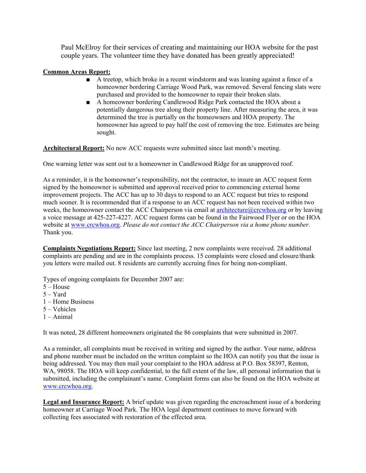Paul McElroy for their services of creating and maintaining our HOA website for the past couple years. The volunteer time they have donated has been greatly appreciated!

### **Common Areas Report:**

- A treetop, which broke in a recent windstorm and was leaning against a fence of a homeowner bordering Carriage Wood Park, was removed. Several fencing slats were purchased and provided to the homeowner to repair their broken slats.
- A homeowner bordering Candlewood Ridge Park contacted the HOA about a potentially dangerous tree along their property line. After measuring the area, it was determined the tree is partially on the homeowners and HOA property. The homeowner has agreed to pay half the cost of removing the tree. Estimates are being sought.

**Architectural Report:** No new ACC requests were submitted since last month's meeting.

One warning letter was sent out to a homeowner in Candlewood Ridge for an unapproved roof.

As a reminder, it is the homeowner's responsibility, not the contractor, to insure an ACC request form signed by the homeowner is submitted and approval received prior to commencing external home improvement projects. The ACC has up to 30 days to respond to an ACC request but tries to respond much sooner. It is recommended that if a response to an ACC request has not been received within two weeks, the homeowner contact the ACC Chairperson via email at architecture@crcwhoa.org or by leaving a voice message at 425-227-4227. ACC request forms can be found in the Fairwood Flyer or on the HOA website at www.crcwhoa.org. *Please do not contact the ACC Chairperson via a home phone number.* Thank you.

**Complaints Negotiations Report:** Since last meeting, 2 new complaints were received. 28 additional complaints are pending and are in the complaints process. 15 complaints were closed and closure/thank you letters were mailed out. 8 residents are currently accruing fines for being non-compliant.

Types of ongoing complaints for December 2007 are:

- 5 House
- 5 Yard
- 1 Home Business
- 5 Vehicles
- $1 Animal$

It was noted, 28 different homeowners originated the 86 complaints that were submitted in 2007.

As a reminder, all complaints must be received in writing and signed by the author. Your name, address and phone number must be included on the written complaint so the HOA can notify you that the issue is being addressed. You may then mail your complaint to the HOA address at P.O. Box 58397, Renton, WA, 98058. The HOA will keep confidential, to the full extent of the law, all personal information that is submitted, including the complainant's name. Complaint forms can also be found on the HOA website at www.crcwhoa.org.

**Legal and Insurance Report:** A brief update was given regarding the encroachment issue of a bordering homeowner at Carriage Wood Park. The HOA legal department continues to move forward with collecting fees associated with restoration of the effected area.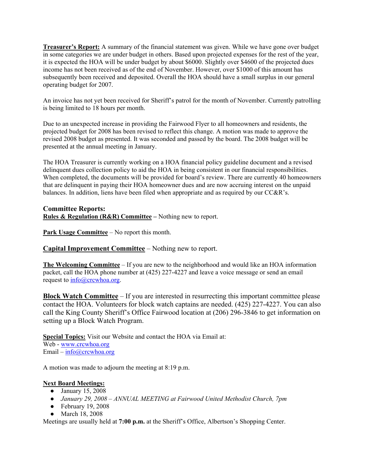**Treasurer's Report:** A summary of the financial statement was given. While we have gone over budget in some categories we are under budget in others. Based upon projected expenses for the rest of the year, it is expected the HOA will be under budget by about \$6000. Slightly over \$4600 of the projected dues income has not been received as of the end of November. However, over \$1000 of this amount has subsequently been received and deposited. Overall the HOA should have a small surplus in our general operating budget for 2007.

An invoice has not yet been received for Sheriff's patrol for the month of November. Currently patrolling is being limited to 18 hours per month.

Due to an unexpected increase in providing the Fairwood Flyer to all homeowners and residents, the projected budget for 2008 has been revised to reflect this change. A motion was made to approve the revised 2008 budget as presented. It was seconded and passed by the board. The 2008 budget will be presented at the annual meeting in January.

The HOA Treasurer is currently working on a HOA financial policy guideline document and a revised delinquent dues collection policy to aid the HOA in being consistent in our financial responsibilities. When completed, the documents will be provided for board's review. There are currently 40 homeowners that are delinquent in paying their HOA homeowner dues and are now accruing interest on the unpaid balances. In addition, liens have been filed when appropriate and as required by our CC&R's.

#### **Committee Reports: Rules & Regulation (R&R) Committee –** Nothing new to report.

**Park Usage Committee** – No report this month.

**Capital Improvement Committee** – Nothing new to report.

**The Welcoming Committee** – If you are new to the neighborhood and would like an HOA information packet, call the HOA phone number at (425) 227-4227 and leave a voice message or send an email request to info@crcwhoa.org.

**Block Watch Committee** – If you are interested in resurrecting this important committee please contact the HOA. Volunteers for block watch captains are needed. (425) 227-4227. You can also call the King County Sheriff's Office Fairwood location at (206) 296-3846 to get information on setting up a Block Watch Program.

**Special Topics:** Visit our Website and contact the HOA via Email at: Web - www.crcwhoa.org Email – info@crcwhoa.org

A motion was made to adjourn the meeting at 8:19 p.m.

## **Next Board Meetings:**

- January 15, 2008
- *January 29, 2008 – ANNUAL MEETING at Fairwood United Methodist Church, 7pm*
- $\bullet$  February 19, 2008
- March 18, 2008

Meetings are usually held at **7:00 p.m.** at the Sheriff's Office, Albertson's Shopping Center.